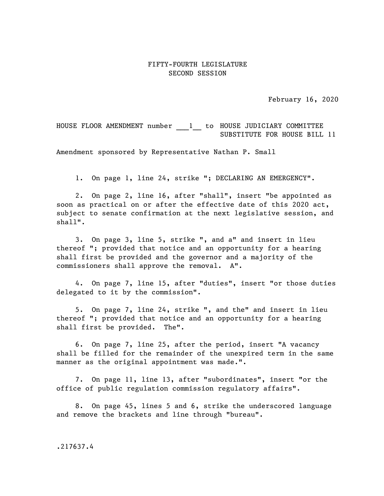## FIFTY-FOURTH LEGISLATURE SECOND SESSION

February 16, 2020

HOUSE FLOOR AMENDMENT number 1 to HOUSE JUDICIARY COMMITTEE SUBSTITUTE FOR HOUSE BILL 11

Amendment sponsored by Representative Nathan P. Small

1. On page 1, line 24, strike "; DECLARING AN EMERGENCY".

2. On page 2, line 16, after "shall", insert "be appointed as soon as practical on or after the effective date of this 2020 act, subject to senate confirmation at the next legislative session, and shall".

3. On page 3, line 5, strike ", and a" and insert in lieu thereof "; provided that notice and an opportunity for a hearing shall first be provided and the governor and a majority of the commissioners shall approve the removal. A".

4. On page 7, line 15, after "duties", insert "or those duties delegated to it by the commission".

5. On page 7, line 24, strike ", and the" and insert in lieu thereof "; provided that notice and an opportunity for a hearing shall first be provided. The".

6. On page 7, line 25, after the period, insert "A vacancy shall be filled for the remainder of the unexpired term in the same manner as the original appointment was made.".

7. On page 11, line 13, after "subordinates", insert "or the office of public regulation commission regulatory affairs".

8. On page 45, lines 5 and 6, strike the underscored language and remove the brackets and line through "bureau".

.217637.4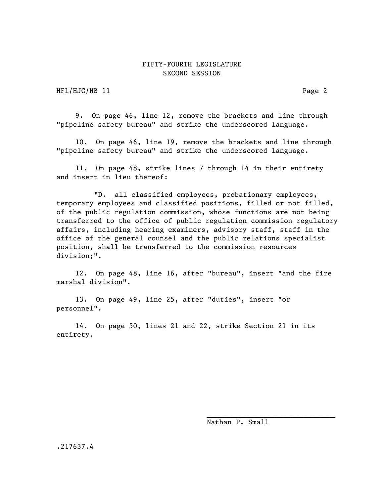## FIFTY-FOURTH LEGISLATURE SECOND SESSION

HFl/HJC/HB 11 Page 2

9. On page 46, line 12, remove the brackets and line through "pipeline safety bureau" and strike the underscored language.

10. On page 46, line 19, remove the brackets and line through "pipeline safety bureau" and strike the underscored language.

11. On page 48, strike lines 7 through 14 in their entirety and insert in lieu thereof:

"D. all classified employees, probationary employees, temporary employees and classified positions, filled or not filled, of the public regulation commission, whose functions are not being transferred to the office of public regulation commission regulatory affairs, including hearing examiners, advisory staff, staff in the office of the general counsel and the public relations specialist position, shall be transferred to the commission resources division;".

12. On page 48, line 16, after "bureau", insert "and the fire marshal division".

13. On page 49, line 25, after "duties", insert "or personnel".

14. On page 50, lines 21 and 22, strike Section 21 in its entirety.

Nathan P. Small

 $\mathcal{L}=\mathcal{L}=\mathcal{L}=\mathcal{L}=\mathcal{L}=\mathcal{L}=\mathcal{L}=\mathcal{L}=\mathcal{L}=\mathcal{L}=\mathcal{L}=\mathcal{L}=\mathcal{L}=\mathcal{L}=\mathcal{L}=\mathcal{L}=\mathcal{L}=\mathcal{L}=\mathcal{L}=\mathcal{L}=\mathcal{L}=\mathcal{L}=\mathcal{L}=\mathcal{L}=\mathcal{L}=\mathcal{L}=\mathcal{L}=\mathcal{L}=\mathcal{L}=\mathcal{L}=\mathcal{L}=\mathcal{L}=\mathcal{L}=\mathcal{L}=\mathcal{L}=\mathcal{L}=\mathcal{$ 

.217637.4